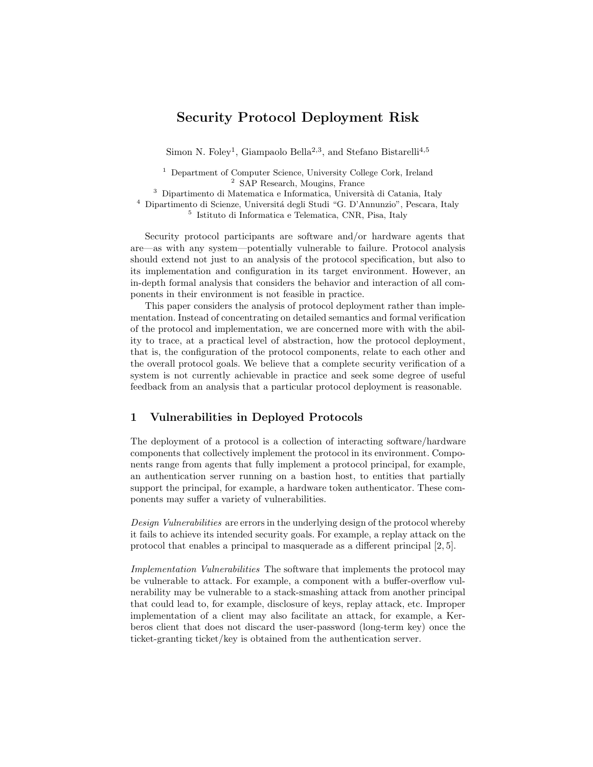# Security Protocol Deployment Risk

Simon N. Foley<sup>1</sup>, Giampaolo Bella<sup>2,3</sup>, and Stefano Bistarelli<sup>4,5</sup>

<sup>1</sup> Department of Computer Science, University College Cork, Ireland 2 SAP Research, Mougins, France

 $^3$  Dipartimento di Matematica e Informatica, Università di Catania, Italy <sup>4</sup> Dipartimento di Scienze, Universitá degli Studi "G. D'Annunzio", Pescara, Italy 5 Istituto di Informatica e Telematica, CNR, Pisa, Italy

Security protocol participants are software and/or hardware agents that are—as with any system—potentially vulnerable to failure. Protocol analysis should extend not just to an analysis of the protocol specification, but also to its implementation and configuration in its target environment. However, an in-depth formal analysis that considers the behavior and interaction of all components in their environment is not feasible in practice.

This paper considers the analysis of protocol deployment rather than implementation. Instead of concentrating on detailed semantics and formal verification of the protocol and implementation, we are concerned more with with the ability to trace, at a practical level of abstraction, how the protocol deployment, that is, the configuration of the protocol components, relate to each other and the overall protocol goals. We believe that a complete security verification of a system is not currently achievable in practice and seek some degree of useful feedback from an analysis that a particular protocol deployment is reasonable.

### 1 Vulnerabilities in Deployed Protocols

The deployment of a protocol is a collection of interacting software/hardware components that collectively implement the protocol in its environment. Components range from agents that fully implement a protocol principal, for example, an authentication server running on a bastion host, to entities that partially support the principal, for example, a hardware token authenticator. These components may suffer a variety of vulnerabilities.

Design Vulnerabilities are errors in the underlying design of the protocol whereby it fails to achieve its intended security goals. For example, a replay attack on the protocol that enables a principal to masquerade as a different principal [2, 5].

Implementation Vulnerabilities The software that implements the protocol may be vulnerable to attack. For example, a component with a buffer-overflow vulnerability may be vulnerable to a stack-smashing attack from another principal that could lead to, for example, disclosure of keys, replay attack, etc. Improper implementation of a client may also facilitate an attack, for example, a Kerberos client that does not discard the user-password (long-term key) once the ticket-granting ticket/key is obtained from the authentication server.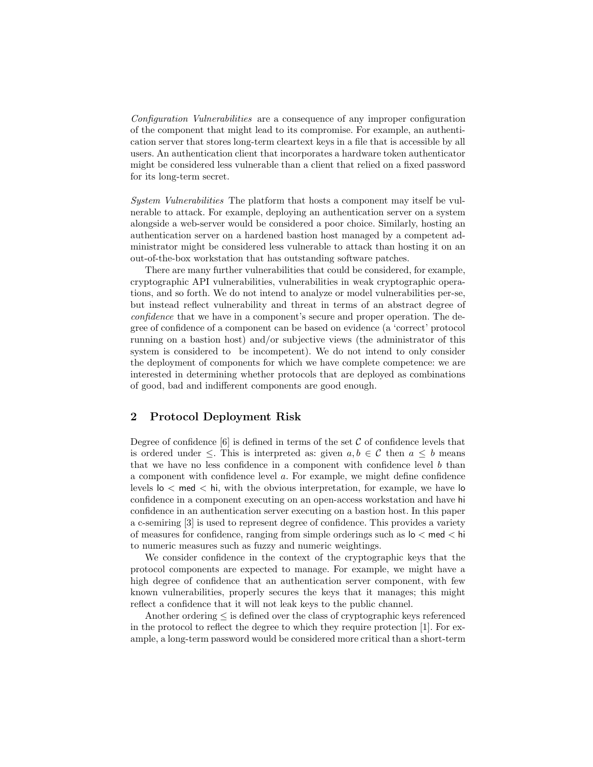Configuration Vulnerabilities are a consequence of any improper configuration of the component that might lead to its compromise. For example, an authentication server that stores long-term cleartext keys in a file that is accessible by all users. An authentication client that incorporates a hardware token authenticator might be considered less vulnerable than a client that relied on a fixed password for its long-term secret.

System Vulnerabilities The platform that hosts a component may itself be vulnerable to attack. For example, deploying an authentication server on a system alongside a web-server would be considered a poor choice. Similarly, hosting an authentication server on a hardened bastion host managed by a competent administrator might be considered less vulnerable to attack than hosting it on an out-of-the-box workstation that has outstanding software patches.

There are many further vulnerabilities that could be considered, for example, cryptographic API vulnerabilities, vulnerabilities in weak cryptographic operations, and so forth. We do not intend to analyze or model vulnerabilities per-se, but instead reflect vulnerability and threat in terms of an abstract degree of confidence that we have in a component's secure and proper operation. The degree of confidence of a component can be based on evidence (a 'correct' protocol running on a bastion host) and/or subjective views (the administrator of this system is considered to be incompetent). We do not intend to only consider the deployment of components for which we have complete competence: we are interested in determining whether protocols that are deployed as combinations of good, bad and indifferent components are good enough.

### 2 Protocol Deployment Risk

Degree of confidence  $[6]$  is defined in terms of the set  $C$  of confidence levels that is ordered under  $\leq$ . This is interpreted as: given  $a, b \in \mathcal{C}$  then  $a \leq b$  means that we have no less confidence in a component with confidence level  $b$  than a component with confidence level a. For example, we might define confidence levels  $\log$   $\leq$  med  $\leq$  hi, with the obvious interpretation, for example, we have  $\log$ confidence in a component executing on an open-access workstation and have hi confidence in an authentication server executing on a bastion host. In this paper a c-semiring [3] is used to represent degree of confidence. This provides a variety of measures for confidence, ranging from simple orderings such as  $\log \epsilon$  med  $\epsilon$  hi to numeric measures such as fuzzy and numeric weightings.

We consider confidence in the context of the cryptographic keys that the protocol components are expected to manage. For example, we might have a high degree of confidence that an authentication server component, with few known vulnerabilities, properly secures the keys that it manages; this might reflect a confidence that it will not leak keys to the public channel.

Another ordering  $\leq$  is defined over the class of cryptographic keys referenced in the protocol to reflect the degree to which they require protection [1]. For example, a long-term password would be considered more critical than a short-term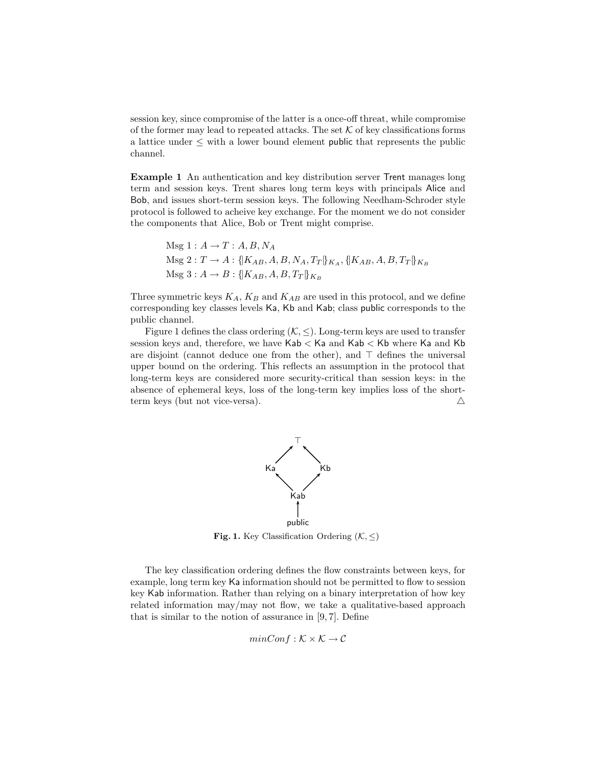session key, since compromise of the latter is a once-off threat, while compromise of the former may lead to repeated attacks. The set  $K$  of key classifications forms a lattice under  $\leq$  with a lower bound element **public** that represents the public channel.

Example 1 An authentication and key distribution server Trent manages long term and session keys. Trent shares long term keys with principals Alice and Bob, and issues short-term session keys. The following Needham-Schroder style protocol is followed to acheive key exchange. For the moment we do not consider the components that Alice, Bob or Trent might comprise.

$$
Msg 1: A → T : A, B, NA
$$
  
\n
$$
Msg 2: T → A : \{ [KAB, A, B, NA, TT ] |_{KA, \{ [KAB, A, B, TT ] \}_{KB}
$$
  
\n
$$
Msg 3: A → B : \{ [KAB, A, B, TT ] |_{KB}
$$

Three symmetric keys  $K_A$ ,  $K_B$  and  $K_{AB}$  are used in this protocol, and we define corresponding key classes levels Ka, Kb and Kab; class public corresponds to the public channel.

Figure 1 defines the class ordering  $(K, \leq)$ . Long-term keys are used to transfer session keys and, therefore, we have Kab < Ka and Kab < Kb where Ka and Kb are disjoint (cannot deduce one from the other), and  $\top$  defines the universal upper bound on the ordering. This reflects an assumption in the protocol that long-term keys are considered more security-critical than session keys: in the absence of ephemeral keys, loss of the long-term key implies loss of the shortterm keys (but not vice-versa).  $\triangle$ 



**Fig. 1.** Key Classification Ordering  $(K, \leq)$ 

The key classification ordering defines the flow constraints between keys, for example, long term key Ka information should not be permitted to flow to session key Kab information. Rather than relying on a binary interpretation of how key related information may/may not flow, we take a qualitative-based approach that is similar to the notion of assurance in [9, 7]. Define

$$
minConf : \mathcal{K} \times \mathcal{K} \rightarrow \mathcal{C}
$$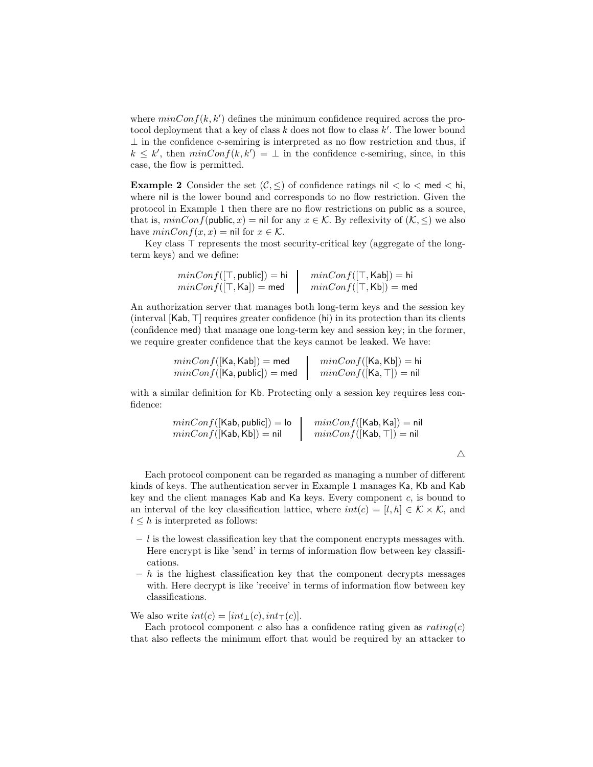where  $minConf(k, k')$  defines the minimum confidence required across the protocol deployment that a key of class  $k$  does not flow to class  $k'$ . The lower bound  $\perp$  in the confidence c-semiring is interpreted as no flow restriction and thus, if  $k \leq k'$ , then  $minConf(k, k') = \perp$  in the confidence c-semiring, since, in this case, the flow is permitted.

**Example 2** Consider the set  $(C, \leq)$  of confidence ratings nil  $\lt$  lo  $\lt$  med  $\lt$  hi, where nil is the lower bound and corresponds to no flow restriction. Given the protocol in Example 1 then there are no flow restrictions on public as a source, that is,  $minConf(\text{public}, x) = \text{nil}$  for any  $x \in \mathcal{K}$ . By reflexivity of  $(\mathcal{K}, \leq)$  we also have  $minConf(x, x) = \text{nil}$  for  $x \in \mathcal{K}$ .

Key class ⊤ represents the most security-critical key (aggregate of the longterm keys) and we define:

$$
\begin{array}{ccc}\nminConf([\top, \mathsf{public}]) = \mathsf{hi} & \begin{array}{c}\nminConf([\top, \mathsf{Kab}]) = \mathsf{hi} \\
minConf([\top, \mathsf{Ka}]) = \mathsf{med}\n\end{array}\n\end{array}
$$

An authorization server that manages both long-term keys and the session key (interval [Kab, ⊤] requires greater confidence (hi) in its protection than its clients (confidence med) that manage one long-term key and session key; in the former, we require greater confidence that the keys cannot be leaked. We have:

$$
minConf([Ka, Kab]) = medminConf([Ka, public]) = medminConf([Ka, T]) = nil
$$

with a similar definition for Kb. Protecting only a session key requires less confidence:

$$
minConf([Kab, public]) = lo
$$

$$
minConf([Kab, Kb]) = nil
$$

$$
minConf([Kab, T]) = nil
$$

$$
minConf([Kab, T]) = nil
$$

Each protocol component can be regarded as managing a number of different kinds of keys. The authentication server in Example 1 manages Ka, Kb and Kab key and the client manages Kab and Ka keys. Every component c, is bound to an interval of the key classification lattice, where  $int(c) = [l, h] \in K \times K$ , and  $l \leq h$  is interpreted as follows:

- $-l$  is the lowest classification key that the component encrypts messages with. Here encrypt is like 'send' in terms of information flow between key classifications.
- $-h$  is the highest classification key that the component decrypts messages with. Here decrypt is like 'receive' in terms of information flow between key classifications.

We also write  $int(c) = [int_{\perp}(c), int_{\perp}(c)].$ 

Each protocol component c also has a confidence rating given as  $rating(c)$ that also reflects the minimum effort that would be required by an attacker to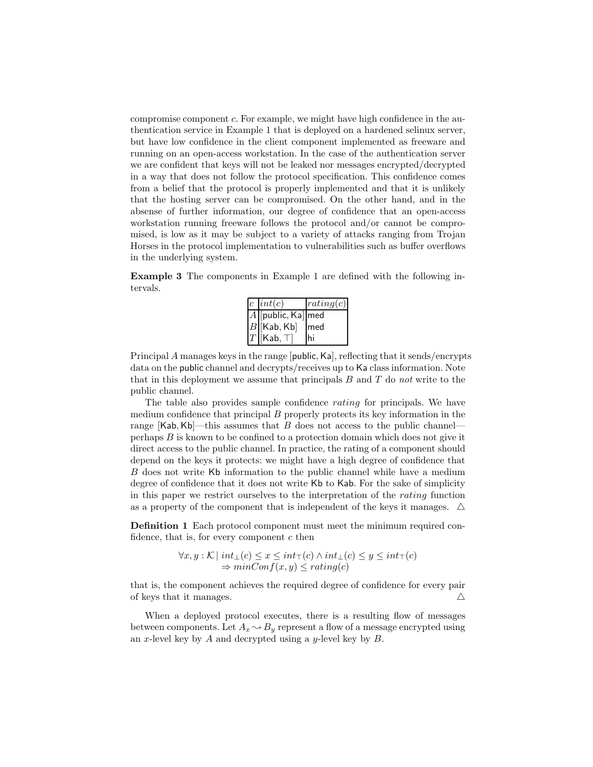compromise component c. For example, we might have high confidence in the authentication service in Example 1 that is deployed on a hardened selinux server, but have low confidence in the client component implemented as freeware and running on an open-access workstation. In the case of the authentication server we are confident that keys will not be leaked nor messages encrypted/decrypted in a way that does not follow the protocol specification. This confidence comes from a belief that the protocol is properly implemented and that it is unlikely that the hosting server can be compromised. On the other hand, and in the absense of further information, our degree of confidence that an open-access workstation running freeware follows the protocol and/or cannot be compromised, is low as it may be subject to a variety of attacks ranging from Trojan Horses in the protocol implementation to vulnerabilities such as buffer overflows in the underlying system.

Example 3 The components in Example 1 are defined with the following intervals.

| $c \; \vert int(c)$   | rating(c) |
|-----------------------|-----------|
| $A$   public, Ka  med |           |
| $B$ [Kab, Kb]         | lmed      |
| $T$  [Kab, T]         | hi        |

Principal A manages keys in the range [public,Ka], reflecting that it sends/encrypts data on the public channel and decrypts/receives up to Ka class information. Note that in this deployment we assume that principals  $B$  and  $T$  do not write to the public channel.

The table also provides sample confidence rating for principals. We have medium confidence that principal B properly protects its key information in the range  $[Kab, Kb]$ —this assumes that B does not access to the public channel perhaps B is known to be confined to a protection domain which does not give it direct access to the public channel. In practice, the rating of a component should depend on the keys it protects: we might have a high degree of confidence that B does not write Kb information to the public channel while have a medium degree of confidence that it does not write Kb to Kab. For the sake of simplicity in this paper we restrict ourselves to the interpretation of the rating function as a property of the component that is independent of the keys it manages.  $\Delta$ 

Definition 1 Each protocol component must meet the minimum required confidence, that is, for every component  $c$  then

$$
\forall x, y : \mathcal{K} \mid int_{\perp}(c) \le x \le int_{\top}(c) \land int_{\perp}(c) \le y \le int_{\top}(c)
$$
  

$$
\Rightarrow minConf(x, y) \le rating(c)
$$

that is, the component achieves the required degree of confidence for every pair of keys that it manages.  $\triangle$ 

When a deployed protocol executes, there is a resulting flow of messages between components. Let  $A_x \sim B_y$  represent a flow of a message encrypted using an x-level key by  $A$  and decrypted using a y-level key by  $B$ .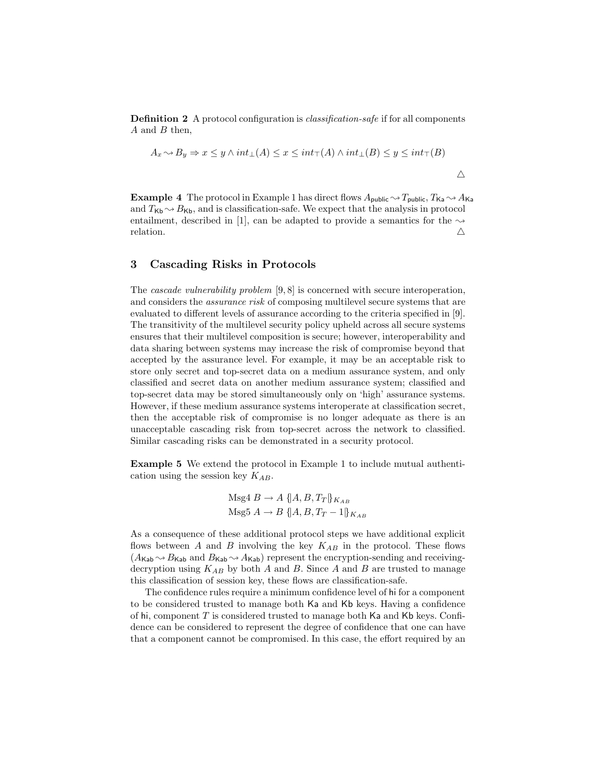Definition 2 A protocol configuration is classification-safe if for all components A and B then,

$$
A_x \sim B_y \Rightarrow x \leq y \land int_{\perp}(A) \leq x \leq int_{\top}(A) \land int_{\perp}(B) \leq y \leq int_{\top}(B)
$$
  

$$
\triangle
$$

**Example 4** The protocol in Example 1 has direct flows  $A_{\text{public}} \rightarrow T_{\text{public}}$ ,  $T_{\text{Ka}} \rightarrow A_{\text{Ka}}$ and  $T_{\mathsf{Kb}} \sim B_{\mathsf{Kb}}$ , and is classification-safe. We expect that the analysis in protocol entailment, described in [1], can be adapted to provide a semantics for the  $\sim$ relation.  $\triangle$ 

#### 3 Cascading Risks in Protocols

The cascade vulnerability problem [9, 8] is concerned with secure interoperation, and considers the *assurance risk* of composing multilevel secure systems that are evaluated to different levels of assurance according to the criteria specified in [9]. The transitivity of the multilevel security policy upheld across all secure systems ensures that their multilevel composition is secure; however, interoperability and data sharing between systems may increase the risk of compromise beyond that accepted by the assurance level. For example, it may be an acceptable risk to store only secret and top-secret data on a medium assurance system, and only classified and secret data on another medium assurance system; classified and top-secret data may be stored simultaneously only on 'high' assurance systems. However, if these medium assurance systems interoperate at classification secret, then the acceptable risk of compromise is no longer adequate as there is an unacceptable cascading risk from top-secret across the network to classified. Similar cascading risks can be demonstrated in a security protocol.

Example 5 We extend the protocol in Example 1 to include mutual authentication using the session key  $K_{AB}$ .

$$
\text{Msg4 } B \to A \{A, B, T_T\}_{K_{AB}}
$$
  

$$
\text{Msg5 } A \to B \{A, B, T_T - 1\}_{K_{AB}}
$$

As a consequence of these additional protocol steps we have additional explicit flows between A and B involving the key  $K_{AB}$  in the protocol. These flows  $(A_{\text{Kab}} \rightsquigarrow B_{\text{Kab}}$  and  $B_{\text{Kab}} \rightsquigarrow A_{\text{Kab}}$  represent the encryption-sending and receivingdecryption using  $K_{AB}$  by both A and B. Since A and B are trusted to manage this classification of session key, these flows are classification-safe.

The confidence rules require a minimum confidence level of hi for a component to be considered trusted to manage both Ka and Kb keys. Having a confidence of hi, component  $T$  is considered trusted to manage both  $\mathsf{Ka}$  and  $\mathsf{Kb}$  keys. Confidence can be considered to represent the degree of confidence that one can have that a component cannot be compromised. In this case, the effort required by an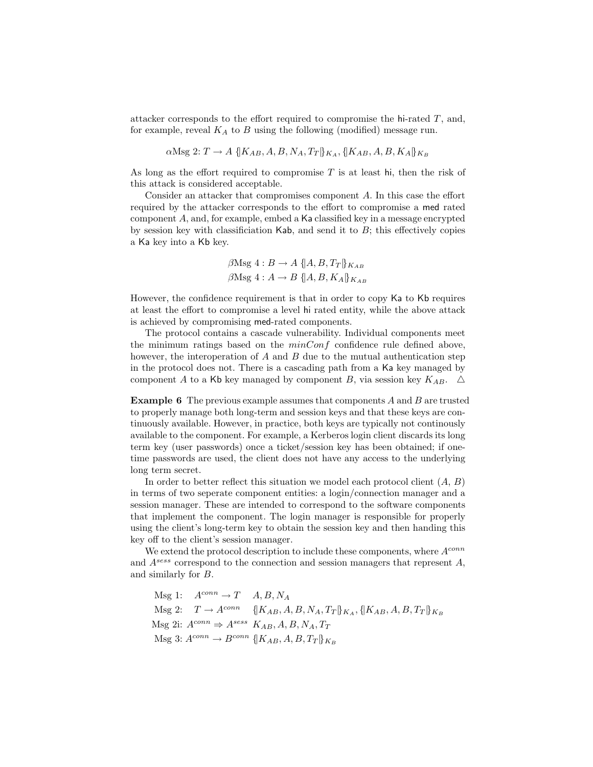attacker corresponds to the effort required to compromise the hi-rated  $T$ , and, for example, reveal  $K_A$  to B using the following (modified) message run.

$$
\alpha \text{Msg 2: } T \to A \left\{ \left[ K_{AB}, A, B, N_A, T_T \right] \right\}_{K_A}, \left\{ \left[ K_{AB}, A, B, K_A \right] \right\}_{K_B}
$$

As long as the effort required to compromise  $T$  is at least hi, then the risk of this attack is considered acceptable.

Consider an attacker that compromises component A. In this case the effort required by the attacker corresponds to the effort to compromise a med rated component A, and, for example, embed a Ka classified key in a message encrypted by session key with classificiation  $Kab$ , and send it to  $B$ ; this effectively copies a Ka key into a Kb key.

$$
\beta \text{Msg } 4: B \to A \{A, B, T_T\}_{K_{AB}}
$$

$$
\beta \text{Msg } 4: A \to B \{A, B, K_A\}_{K_{AB}}
$$

However, the confidence requirement is that in order to copy Ka to Kb requires at least the effort to compromise a level hi rated entity, while the above attack is achieved by compromising med-rated components.

The protocol contains a cascade vulnerability. Individual components meet the minimum ratings based on the  $minConf$  confidence rule defined above, however, the interoperation of  $A$  and  $B$  due to the mutual authentication step in the protocol does not. There is a cascading path from a Ka key managed by component A to a Kb key managed by component B, via session key  $K_{AB}$ .  $\Delta$ 

**Example 6** The previous example assumes that components A and B are trusted to properly manage both long-term and session keys and that these keys are continuously available. However, in practice, both keys are typically not continously available to the component. For example, a Kerberos login client discards its long term key (user passwords) once a ticket/session key has been obtained; if onetime passwords are used, the client does not have any access to the underlying long term secret.

In order to better reflect this situation we model each protocol client  $(A, B)$ in terms of two seperate component entities: a login/connection manager and a session manager. These are intended to correspond to the software components that implement the component. The login manager is responsible for properly using the client's long-term key to obtain the session key and then handing this key off to the client's session manager.

We extend the protocol description to include these components, where  $A^{conn}$ and  $A<sup>sess</sup>$  correspond to the connection and session managers that represent A, and similarly for B.

$$
\begin{aligned}\n\text{Msg 1:} \quad & A^{conn} \to T \quad A, B, N_A \\
\text{Msg 2:} \quad & T \to A^{conn} \quad \{ [K_{AB}, A, B, N_A, T_T] \}_{K_A}, \{ [K_{AB}, A, B, T_T] \}_{K_B} \\
\text{Msg 2i:} \quad & A^{conn} \Rightarrow A^{sess} \quad K_{AB}, A, B, N_A, T_T \\
\text{Msg 3:} \quad & A^{conn} \to B^{conn} \quad \{ [K_{AB}, A, B, T_T] \}_{K_B}\n\end{aligned}
$$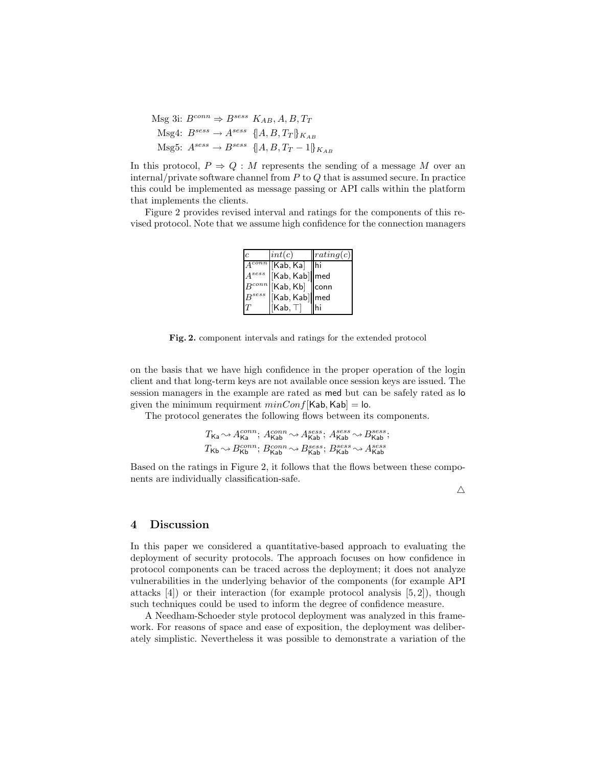$$
\begin{aligned} \text{Msg 3i: } & B^{conn} \Rightarrow B^{sess} \ K_{AB}, A, B, T_T \\ \text{Msg4: } & B^{sess} \rightarrow A^{sess} \ \{A, B, T_T\}_{K_{AB}} \\ \text{Msg5: } & A^{sess} \rightarrow B^{sess} \ \{A, B, T_T - 1\}_{K_{AB}} \end{aligned}
$$

In this protocol,  $P \Rightarrow Q : M$  represents the sending of a message M over an internal/private software channel from  $P$  to  $Q$  that is assumed secure. In practice this could be implemented as message passing or API calls within the platform that implements the clients.

Figure 2 provides revised interval and ratings for the components of this revised protocol. Note that we assume high confidence for the connection managers

| c          | int(c)                     | rating(c) |
|------------|----------------------------|-----------|
|            | $\sqrt{conn  Kab, Ka }$    |           |
|            | $A^{sess}$  Kab, Kab]  med |           |
|            | $ B^{conn} $ [Kab, Kb]     | conn      |
| $B^{sess}$ | [Kab, Kab] med             |           |
|            | $[Kab, \top]$              |           |

Fig. 2. component intervals and ratings for the extended protocol

on the basis that we have high confidence in the proper operation of the login client and that long-term keys are not available once session keys are issued. The session managers in the example are rated as med but can be safely rated as lo given the minimum requirment  $minConf[Kab, Kab] = lo$ .

The protocol generates the following flows between its components.

$$
T_{\mathsf{Ka}} \!\!\! \rightsquigarrow\! A_{\mathsf{Ka}}^{conn} ,\, A_{\mathsf{Kab}}^{conn} \!\! \rightsquigarrow\! A_{\mathsf{Kab}}^{sess} ,\, A_{\mathsf{Kab}}^{sess} \!\! \rightsquigarrow\! B_{\mathsf{Kab}}^{sess} ,\, T_{\mathsf{Kb}} \!\!\! \rightsquigarrow\! B_{\mathsf{Kb}}^{cons} ,\, B_{\mathsf{Kab}}^{cross} ,\, B_{\mathsf{Kab}}^{sess} \!\! \rightsquigarrow\! A_{\mathsf{Kab}}^{sess}
$$

Based on the ratings in Figure 2, it follows that the flows between these components are individually classification-safe.

 $\triangle$ 

#### 4 Discussion

In this paper we considered a quantitative-based approach to evaluating the deployment of security protocols. The approach focuses on how confidence in protocol components can be traced across the deployment; it does not analyze vulnerabilities in the underlying behavior of the components (for example API attacks  $[4]$ ) or their interaction (for example protocol analysis  $[5, 2]$ ), though such techniques could be used to inform the degree of confidence measure.

A Needham-Schoeder style protocol deployment was analyzed in this framework. For reasons of space and ease of exposition, the deployment was deliberately simplistic. Nevertheless it was possible to demonstrate a variation of the